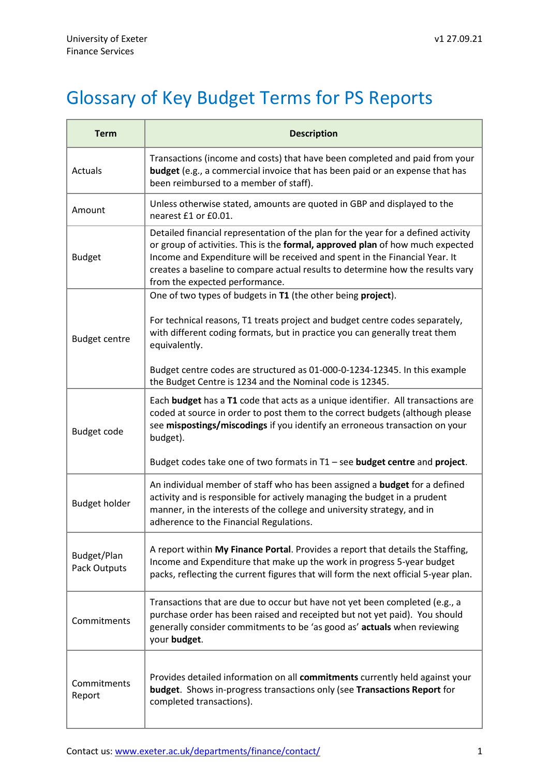## Glossary of Key Budget Terms for PS Reports

| <b>Term</b>                 | <b>Description</b>                                                                                                                                                                                                                                                                                                                                                     |
|-----------------------------|------------------------------------------------------------------------------------------------------------------------------------------------------------------------------------------------------------------------------------------------------------------------------------------------------------------------------------------------------------------------|
| Actuals                     | Transactions (income and costs) that have been completed and paid from your<br><b>budget</b> (e.g., a commercial invoice that has been paid or an expense that has<br>been reimbursed to a member of staff).                                                                                                                                                           |
| Amount                      | Unless otherwise stated, amounts are quoted in GBP and displayed to the<br>nearest £1 or £0.01.                                                                                                                                                                                                                                                                        |
| <b>Budget</b>               | Detailed financial representation of the plan for the year for a defined activity<br>or group of activities. This is the formal, approved plan of how much expected<br>Income and Expenditure will be received and spent in the Financial Year. It<br>creates a baseline to compare actual results to determine how the results vary<br>from the expected performance. |
| <b>Budget centre</b>        | One of two types of budgets in T1 (the other being project).                                                                                                                                                                                                                                                                                                           |
|                             | For technical reasons, T1 treats project and budget centre codes separately,<br>with different coding formats, but in practice you can generally treat them<br>equivalently.                                                                                                                                                                                           |
|                             | Budget centre codes are structured as 01-000-0-1234-12345. In this example<br>the Budget Centre is 1234 and the Nominal code is 12345.                                                                                                                                                                                                                                 |
| Budget code                 | Each budget has a T1 code that acts as a unique identifier. All transactions are<br>coded at source in order to post them to the correct budgets (although please<br>see mispostings/miscodings if you identify an erroneous transaction on your<br>budget).                                                                                                           |
|                             | Budget codes take one of two formats in T1 - see budget centre and project.                                                                                                                                                                                                                                                                                            |
| <b>Budget holder</b>        | An individual member of staff who has been assigned a <b>budget</b> for a defined<br>activity and is responsible for actively managing the budget in a prudent<br>manner, in the interests of the college and university strategy, and in<br>adherence to the Financial Regulations.                                                                                   |
| Budget/Plan<br>Pack Outputs | A report within My Finance Portal. Provides a report that details the Staffing,<br>Income and Expenditure that make up the work in progress 5-year budget<br>packs, reflecting the current figures that will form the next official 5-year plan.                                                                                                                       |
| Commitments                 | Transactions that are due to occur but have not yet been completed (e.g., a<br>purchase order has been raised and receipted but not yet paid). You should<br>generally consider commitments to be 'as good as' actuals when reviewing<br>your budget.                                                                                                                  |
| Commitments<br>Report       | Provides detailed information on all commitments currently held against your<br>budget. Shows in-progress transactions only (see Transactions Report for<br>completed transactions).                                                                                                                                                                                   |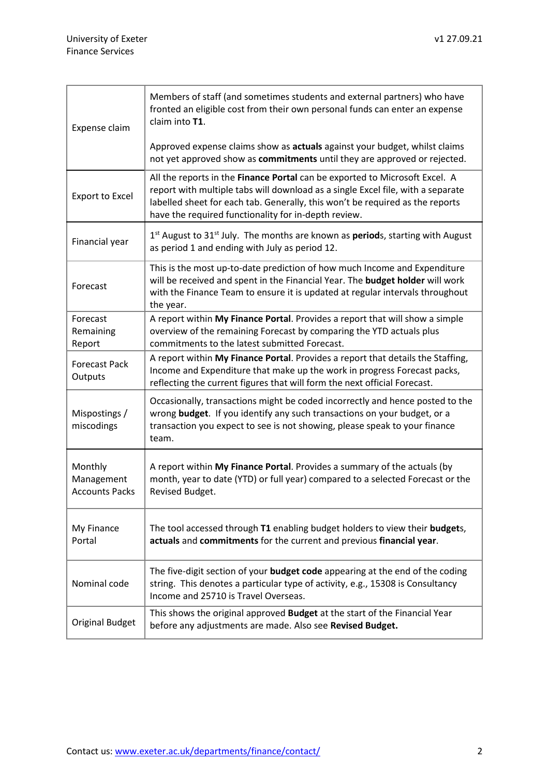| Expense claim                                  | Members of staff (and sometimes students and external partners) who have<br>fronted an eligible cost from their own personal funds can enter an expense<br>claim into T1.<br>Approved expense claims show as actuals against your budget, whilst claims<br>not yet approved show as commitments until they are approved or rejected. |
|------------------------------------------------|--------------------------------------------------------------------------------------------------------------------------------------------------------------------------------------------------------------------------------------------------------------------------------------------------------------------------------------|
| <b>Export to Excel</b>                         | All the reports in the Finance Portal can be exported to Microsoft Excel. A<br>report with multiple tabs will download as a single Excel file, with a separate<br>labelled sheet for each tab. Generally, this won't be required as the reports<br>have the required functionality for in-depth review.                              |
| Financial year                                 | 1 <sup>st</sup> August to 31 <sup>st</sup> July. The months are known as <b>period</b> s, starting with August<br>as period 1 and ending with July as period 12.                                                                                                                                                                     |
| Forecast                                       | This is the most up-to-date prediction of how much Income and Expenditure<br>will be received and spent in the Financial Year. The budget holder will work<br>with the Finance Team to ensure it is updated at regular intervals throughout<br>the year.                                                                             |
| Forecast<br>Remaining<br>Report                | A report within My Finance Portal. Provides a report that will show a simple<br>overview of the remaining Forecast by comparing the YTD actuals plus<br>commitments to the latest submitted Forecast.                                                                                                                                |
| <b>Forecast Pack</b><br>Outputs                | A report within My Finance Portal. Provides a report that details the Staffing,<br>Income and Expenditure that make up the work in progress Forecast packs,<br>reflecting the current figures that will form the next official Forecast.                                                                                             |
| Mispostings /<br>miscodings                    | Occasionally, transactions might be coded incorrectly and hence posted to the<br>wrong budget. If you identify any such transactions on your budget, or a<br>transaction you expect to see is not showing, please speak to your finance<br>team.                                                                                     |
| Monthly<br>Management<br><b>Accounts Packs</b> | A report within My Finance Portal. Provides a summary of the actuals (by<br>month, year to date (YTD) or full year) compared to a selected Forecast or the<br>Revised Budget.                                                                                                                                                        |
| My Finance<br>Portal                           | The tool accessed through T1 enabling budget holders to view their budgets,<br>actuals and commitments for the current and previous financial year.                                                                                                                                                                                  |
| Nominal code                                   | The five-digit section of your budget code appearing at the end of the coding<br>string. This denotes a particular type of activity, e.g., 15308 is Consultancy<br>Income and 25710 is Travel Overseas.                                                                                                                              |
| <b>Original Budget</b>                         | This shows the original approved Budget at the start of the Financial Year<br>before any adjustments are made. Also see Revised Budget.                                                                                                                                                                                              |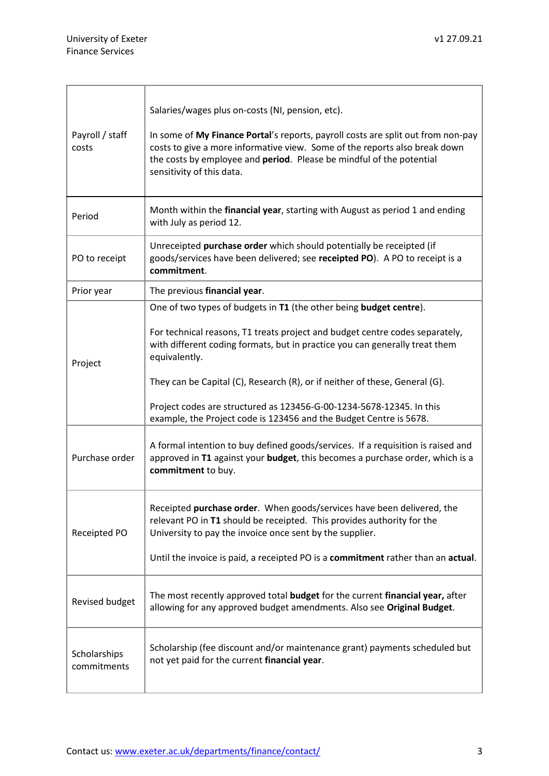| Payroll / staff<br>costs    | Salaries/wages plus on-costs (NI, pension, etc).<br>In some of My Finance Portal's reports, payroll costs are split out from non-pay<br>costs to give a more informative view. Some of the reports also break down<br>the costs by employee and period. Please be mindful of the potential<br>sensitivity of this data. |
|-----------------------------|-------------------------------------------------------------------------------------------------------------------------------------------------------------------------------------------------------------------------------------------------------------------------------------------------------------------------|
| Period                      | Month within the financial year, starting with August as period 1 and ending<br>with July as period 12.                                                                                                                                                                                                                 |
| PO to receipt               | Unreceipted purchase order which should potentially be receipted (if<br>goods/services have been delivered; see receipted PO). A PO to receipt is a<br>commitment.                                                                                                                                                      |
| Prior year                  | The previous financial year.                                                                                                                                                                                                                                                                                            |
| Project                     | One of two types of budgets in T1 (the other being budget centre).                                                                                                                                                                                                                                                      |
|                             | For technical reasons, T1 treats project and budget centre codes separately,<br>with different coding formats, but in practice you can generally treat them<br>equivalently.                                                                                                                                            |
|                             | They can be Capital (C), Research (R), or if neither of these, General (G).                                                                                                                                                                                                                                             |
|                             | Project codes are structured as 123456-G-00-1234-5678-12345. In this<br>example, the Project code is 123456 and the Budget Centre is 5678.                                                                                                                                                                              |
| Purchase order              | A formal intention to buy defined goods/services. If a requisition is raised and<br>approved in T1 against your budget, this becomes a purchase order, which is a<br>commitment to buy.                                                                                                                                 |
| Receipted PO                | Receipted purchase order. When goods/services have been delivered, the<br>relevant PO in T1 should be receipted. This provides authority for the<br>University to pay the invoice once sent by the supplier.<br>Until the invoice is paid, a receipted PO is a commitment rather than an actual.                        |
| Revised budget              | The most recently approved total budget for the current financial year, after<br>allowing for any approved budget amendments. Also see Original Budget.                                                                                                                                                                 |
| Scholarships<br>commitments | Scholarship (fee discount and/or maintenance grant) payments scheduled but<br>not yet paid for the current financial year.                                                                                                                                                                                              |